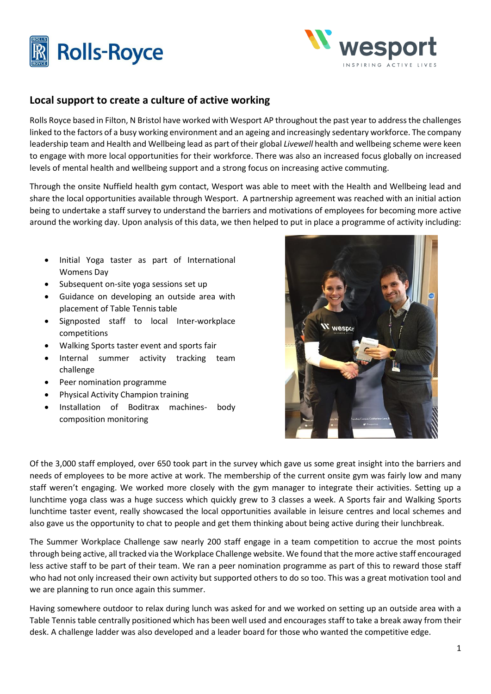



## **Local support to create a culture of active working**

Rolls Royce based in Filton, N Bristol have worked with Wesport AP throughout the past year to address the challenges linked to the factors of a busy working environment and an ageing and increasingly sedentary workforce. The company leadership team and Health and Wellbeing lead as part of their global *Livewell* health and wellbeing scheme were keen to engage with more local opportunities for their workforce. There was also an increased focus globally on increased levels of mental health and wellbeing support and a strong focus on increasing active commuting.

Through the onsite Nuffield health gym contact, Wesport was able to meet with the Health and Wellbeing lead and share the local opportunities available through Wesport. A partnership agreement was reached with an initial action being to undertake a staff survey to understand the barriers and motivations of employees for becoming more active around the working day. Upon analysis of this data, we then helped to put in place a programme of activity including:

- Initial Yoga taster as part of International Womens Day
- Subsequent on-site yoga sessions set up
- Guidance on developing an outside area with placement of Table Tennis table
- Signposted staff to local Inter-workplace competitions
- Walking Sports taster event and sports fair
- Internal summer activity tracking team challenge
- Peer nomination programme
- Physical Activity Champion training
- Installation of Boditrax machines- body composition monitoring



Of the 3,000 staff employed, over 650 took part in the survey which gave us some great insight into the barriers and needs of employees to be more active at work. The membership of the current onsite gym was fairly low and many staff weren't engaging. We worked more closely with the gym manager to integrate their activities. Setting up a lunchtime yoga class was a huge success which quickly grew to 3 classes a week. A Sports fair and Walking Sports lunchtime taster event, really showcased the local opportunities available in leisure centres and local schemes and also gave us the opportunity to chat to people and get them thinking about being active during their lunchbreak.

The Summer Workplace Challenge saw nearly 200 staff engage in a team competition to accrue the most points through being active, all tracked via the Workplace Challenge website. We found that the more active staff encouraged less active staff to be part of their team. We ran a peer nomination programme as part of this to reward those staff who had not only increased their own activity but supported others to do so too. This was a great motivation tool and we are planning to run once again this summer.

Having somewhere outdoor to relax during lunch was asked for and we worked on setting up an outside area with a Table Tennis table centrally positioned which has been well used and encourages staff to take a break away from their desk. A challenge ladder was also developed and a leader board for those who wanted the competitive edge.